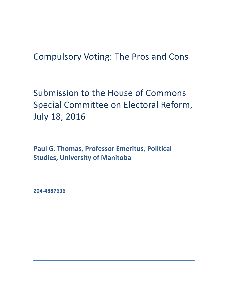Compulsory Voting: The Pros and Cons

Submission to the House of Commons Special Committee on Electoral Reform, July 18, 2016

**Paul G. Thomas, Professor Emeritus, Political Studies, University of Manitoba**

**204-4887636**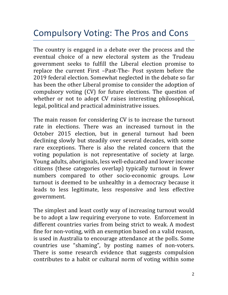## Compulsory Voting: The Pros and Cons

The country is engaged in a debate over the process and the eventual choice of a new electoral system as the Trudeau government seeks to fulfill the Liberal election promise to replace the current First –Past-The- Post system before the 2019 federal election. Somewhat neglected in the debate so far has been the other Liberal promise to consider the adoption of compulsory voting (CV) for future elections. The question of whether or not to adopt CV raises interesting philosophical, legal, political and practical administrative issues.

The main reason for considering CV is to increase the turnout rate in elections. There was an increased turnout in the October 2015 election, but in general turnout had been declining slowly but steadily over several decades, with some rare exceptions. There is also the related concern that the voting population is not representative of society at large. Young adults, aboriginals, less well-educated and lower income citizens (these categories overlap) typically turnout in fewer numbers compared to other socio-economic groups. Low turnout is deemed to be unhealthy in a democracy because it leads to less legitimate, less responsive and less effective government.

The simplest and least costly way of increasing turnout would be to adopt a law requiring everyone to vote. Enforcement in different countries varies from being strict to weak. A modest fine for non-voting, with an exemption based on a valid reason, is used in Australia to encourage attendance at the polls. Some countries use "shaming", by posting names of non-voters. There is some research evidence that suggests compulsion contributes to a habit or cultural norm of voting within some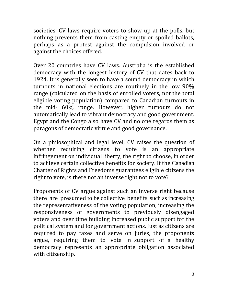societies. CV laws require voters to show up at the polls, but nothing prevents them from casting empty or spoiled ballots, perhaps as a protest against the compulsion involved or against the choices offered.

Over 20 countries have CV laws. Australia is the established democracy with the longest history of CV that dates back to 1924. It is generally seen to have a sound democracy in which turnouts in national elections are routinely in the low 90% range (calculated on the basis of enrolled voters, not the total eligible voting population) compared to Canadian turnouts in the mid- 60% range. However, higher turnouts do not automatically lead to vibrant democracy and good government. Egypt and the Congo also have CV and no one regards them as paragons of democratic virtue and good governance.

On a philosophical and legal level, CV raises the question of whether requiring citizens to vote is an appropriate infringement on individual liberty, the right to choose, in order to achieve certain collective benefits for society. If the Canadian Charter of Rights and Freedoms guarantees eligible citizens the right to vote, is there not an inverse right not to vote?

Proponents of CV argue against such an inverse right because there are presumed to be collective benefits such as increasing the representativeness of the voting population, increasing the responsiveness of governments to previously disengaged voters and over time building increased public support for the political system and for government actions. Just as citizens are required to pay taxes and serve on juries, the proponents argue, requiring them to vote in support of a healthy democracy represents an appropriate obligation associated with citizenship.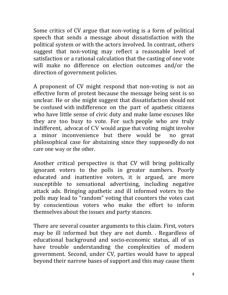Some critics of CV argue that non-voting is a form of political speech that sends a message about dissatisfaction with the political system or with the actors involved. In contrast, others suggest that non-voting may reflect a reasonable level of satisfaction or a rational calculation that the casting of one vote will make no difference on election outcomes and/or the direction of government policies.

A proponent of CV might respond that non-voting is not an effective form of protest because the message being sent is so unclear. He or she might suggest that dissatisfaction should not be confused with indifference on the part of apathetic citizens who have little sense of civic duty and make lame excuses like they are too busy to vote. For such people who are truly indifferent, advocat of CV would argue that voting might involve<br>a minor inconvenience but there would be no great a minor inconvenience but there would be philosophical case for abstaining since they supposedly do not care one way or the other.

Another critical perspective is that CV will bring politically ignorant voters to the polls in greater numbers. Poorly educated and inattentive voters, it is argued, are more susceptible to sensational advertising, including negative attack ads. Bringing apathetic and ill informed voters to the polls may lead to "random" voting that counters the votes cast by conscientious voters who make the effort to inform themselves about the issues and party stances.

There are several counter arguments to this claim. First, voters may be ill informed but they are not dumb. . Regardless of educational background and socio-economic status, all of us have trouble understanding the complexities of modern government. Second, under CV, parties would have to appeal beyond their narrow bases of support and this may cause them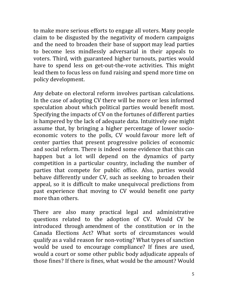to make more serious efforts to engage all voters. Many people claim to be disgusted by the negativity of modern campaigns and the need to broaden their base of support may lead parties to become less mindlessly adversarial in their appeals to voters. Third, with guaranteed higher turnouts, parties would have to spend less on get-out-the-vote activities. This might lead them to focus less on fund raising and spend more time on policy development.

Any debate on electoral reform involves partisan calculations. In the case of adopting CV there will be more or less informed speculation about which political parties would benefit most. Specifying the impacts of CV on the fortunes of different parties is hampered by the lack of adequate data. Intuitively one might assume that, by bringing a higher percentage of lower socioeconomic voters to the polls, CV would favour more left of center parties that present progressive policies of economic and social reform. There is indeed some evidence that this can happen but a lot will depend on the dynamics of party competition in a particular country, including the number of parties that compete for public office. Also, parties would behave differently under CV, such as seeking to broaden their appeal, so it is difficult to make unequivocal predictions from past experience that moving to CV would benefit one party more than others.

There are also many practical legal and administrative questions related to the adoption of CV. Would CV be introduced through amendment of the constitution or in the Canada Elections Act? What sorts of circumstances would qualify as a valid reason for non-voting? What types of sanction would be used to encourage compliance? If fines are used, would a court or some other public body adjudicate appeals of those fines? If there is fines, what would be the amount? Would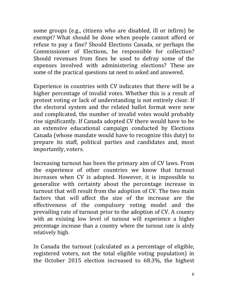some groups (e.g., citizens who are disabled, ill or infirm) be exempt? What should be done when people cannot afford or refuse to pay a fine? Should Elections Canada, or perhaps the Commissioner of Elections, be responsible for collection? Should revenues from fines be used to defray some of the expenses involved with administering elections? These are some of the practical questions tat need to asked and answered.

Experience in countries with CV indicates that there will be a higher percentage of invalid votes. Whether this is a result of protest voting or lack of understanding is not entirely clear. If the electoral system and the related ballot format were new and complicated, the number of invalid votes would probably rise significantly. If Canada adopted CV there would have to be an extensive educational campaign conducted by Elections Canada (whose mandate would have to recognize this duty) to prepare its staff, political parties and candidates and, most importantly, voters.

Increasing turnout has been the primary aim of CV laws. From the experience of other countries we know that turnout increases when CV is adopted. However, it is impossible to generalize with certainty about the percentage increase in turnout that will result from the adoption of CV. The two main factors that will affect the size of the increase are the effectiveness of the compulsory voting model and the prevailing rate of turnout prior to the adoption of CV. A country with an existing low level of turnout will experience a higher percentage increase than a country where the turnout rate is alrdy relatively high.

In Canada the turnout (calculated as a percentage of eligible, registered voters, not the total eligible voting population) in the October 2015 election increased to 68.3%, the highest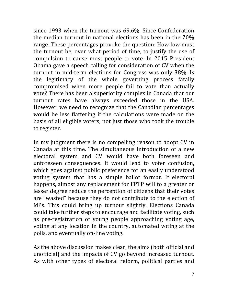since 1993 when the turnout was 69.6%. Since Confederation the median turnout in national elections has been in the 70% range. These percentages provoke the question: How low must the turnout be, over what period of time, to justify the use of compulsion to cause most people to vote. In 2015 President Obama gave a speech calling for consideration of CV when the turnout in mid-term elections for Congress was only 38%. Is the legitimacy of the whole governing process fatally compromised when more people fail to vote than actually vote? There has been a superiority complex in Canada that our turnout rates have always exceeded those in the USA. However, we need to recognize that the Canadian percentages would be less flattering if the calculations were made on the basis of all eligible voters, not just those who took the trouble to register.

In my judgment there is no compelling reason to adopt CV in Canada at this time. The simultaneous introduction of a new electoral system and CV would have both foreseen and unforeseen consequences. It would lead to voter confusion, which goes against public preference for an easily understood voting system that has a simple ballot format. If electoral happens, almost any replacement for FPTP will to a greater or lesser degree reduce the perception of citizens that their votes are "wasted" because they do not contribute to the election of MPs. This could bring up turnout slightly. Elections Canada could take further steps to encourage and facilitate voting, such as pre-registration of young people approaching voting age, voting at any location in the country, automated voting at the polls, and eventually on-line voting.

As the above discussion makes clear, the aims (both official and unofficial) and the impacts of CV go beyond increased turnout. As with other types of electoral reform, political parties and